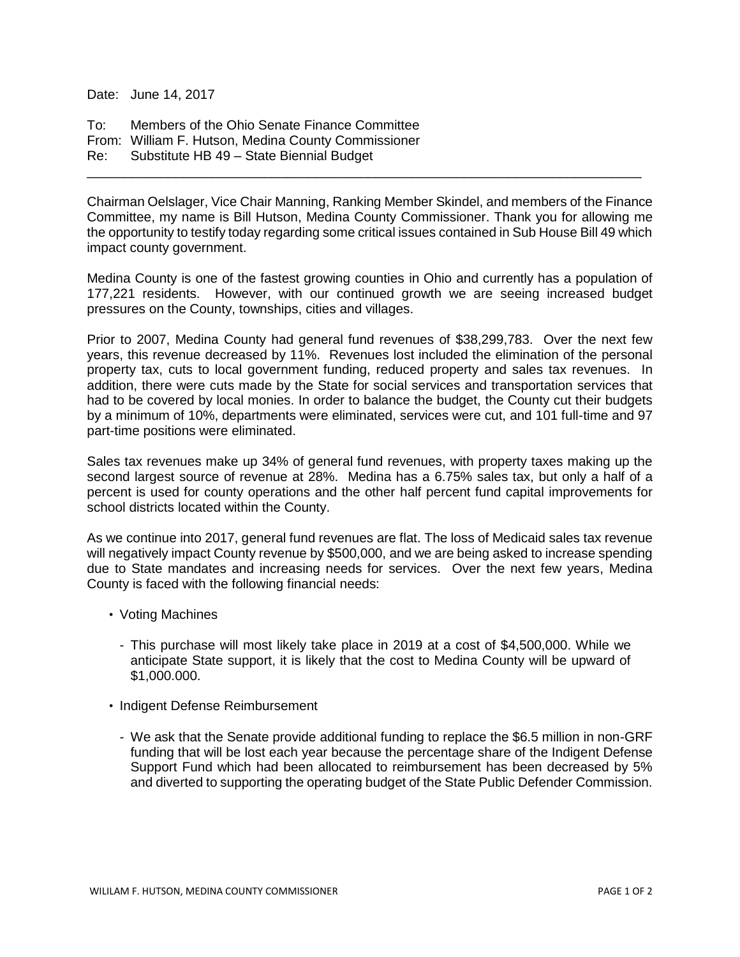Date: June 14, 2017

To: Members of the Ohio Senate Finance Committee From: William F. Hutson, Medina County Commissioner Re: Substitute HB 49 – State Biennial Budget

Chairman Oelslager, Vice Chair Manning, Ranking Member Skindel, and members of the Finance Committee, my name is Bill Hutson, Medina County Commissioner. Thank you for allowing me the opportunity to testify today regarding some critical issues contained in Sub House Bill 49 which impact county government.

\_\_\_\_\_\_\_\_\_\_\_\_\_\_\_\_\_\_\_\_\_\_\_\_\_\_\_\_\_\_\_\_\_\_\_\_\_\_\_\_\_\_\_\_\_\_\_\_\_\_\_\_\_\_\_\_\_\_\_\_\_\_\_\_\_\_\_\_\_\_\_\_\_\_\_

Medina County is one of the fastest growing counties in Ohio and currently has a population of 177,221 residents. However, with our continued growth we are seeing increased budget pressures on the County, townships, cities and villages.

Prior to 2007, Medina County had general fund revenues of \$38,299,783. Over the next few years, this revenue decreased by 11%. Revenues lost included the elimination of the personal property tax, cuts to local government funding, reduced property and sales tax revenues. In addition, there were cuts made by the State for social services and transportation services that had to be covered by local monies. In order to balance the budget, the County cut their budgets by a minimum of 10%, departments were eliminated, services were cut, and 101 full-time and 97 part-time positions were eliminated.

Sales tax revenues make up 34% of general fund revenues, with property taxes making up the second largest source of revenue at 28%. Medina has a 6.75% sales tax, but only a half of a percent is used for county operations and the other half percent fund capital improvements for school districts located within the County.

As we continue into 2017, general fund revenues are flat. The loss of Medicaid sales tax revenue will negatively impact County revenue by \$500,000, and we are being asked to increase spending due to State mandates and increasing needs for services. Over the next few years, Medina County is faced with the following financial needs:

- Voting Machines
	- This purchase will most likely take place in 2019 at a cost of \$4,500,000. While we anticipate State support, it is likely that the cost to Medina County will be upward of \$1,000.000.
- Indigent Defense Reimbursement
	- We ask that the Senate provide additional funding to replace the \$6.5 million in non-GRF funding that will be lost each year because the percentage share of the Indigent Defense Support Fund which had been allocated to reimbursement has been decreased by 5% and diverted to supporting the operating budget of the State Public Defender Commission.